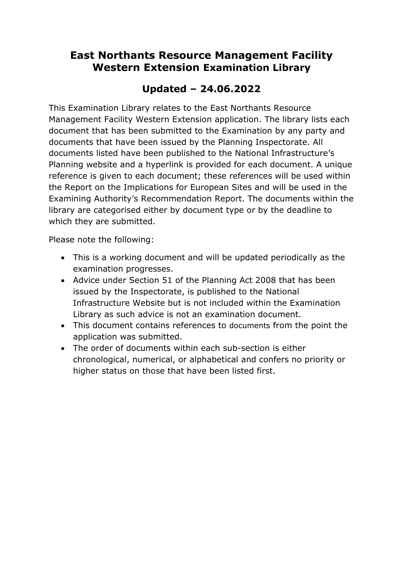# **East Northants Resource Management Facility Western Extension Examination Library**

# **Updated – 24.06.2022**

This Examination Library relates to the East Northants Resource Management Facility Western Extension application. The library lists each document that has been submitted to the Examination by any party and documents that have been issued by the Planning Inspectorate. All documents listed have been published to the National Infrastructure's Planning website and a hyperlink is provided for each document. A unique reference is given to each document; these references will be used within the Report on the Implications for European Sites and will be used in the Examining Authority's Recommendation Report. The documents within the library are categorised either by document type or by the deadline to which they are submitted.

Please note the following:

- This is a working document and will be updated periodically as the examination progresses.
- Advice under Section 51 of the Planning Act 2008 that has been issued by the Inspectorate, is published to the National Infrastructure Website but is not included within the Examination Library as such advice is not an examination document.
- This document contains references to documents from the point the application was submitted.
- The order of documents within each sub-section is either chronological, numerical, or alphabetical and confers no priority or higher status on those that have been listed first.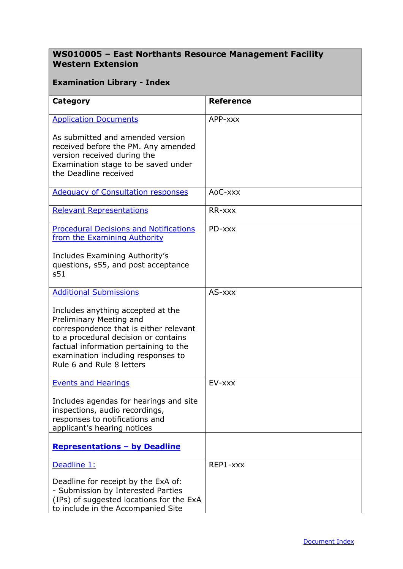## **WS010005 – East Northants Resource Management Facility Western Extension**

### <span id="page-1-0"></span>**Examination Library - Index**

| Category                                                                                                                                                                                                                                                   | <b>Reference</b> |
|------------------------------------------------------------------------------------------------------------------------------------------------------------------------------------------------------------------------------------------------------------|------------------|
| <b>Application Documents</b>                                                                                                                                                                                                                               | APP-xxx          |
| As submitted and amended version<br>received before the PM. Any amended<br>version received during the<br>Examination stage to be saved under<br>the Deadline received                                                                                     |                  |
| <b>Adequacy of Consultation responses</b>                                                                                                                                                                                                                  | AoC-xxx          |
| <b>Relevant Representations</b>                                                                                                                                                                                                                            | RR-xxx           |
| <b>Procedural Decisions and Notifications</b><br>from the Examining Authority                                                                                                                                                                              | PD-xxx           |
| Includes Examining Authority's<br>questions, s55, and post acceptance<br>s51                                                                                                                                                                               |                  |
| <b>Additional Submissions</b>                                                                                                                                                                                                                              | AS-xxx           |
| Includes anything accepted at the<br>Preliminary Meeting and<br>correspondence that is either relevant<br>to a procedural decision or contains<br>factual information pertaining to the<br>examination including responses to<br>Rule 6 and Rule 8 letters |                  |
| <b>Events and Hearings</b>                                                                                                                                                                                                                                 | EV-xxx           |
| Includes agendas for hearings and site<br>inspections, audio recordings,<br>responses to notifications and<br>applicant's hearing notices                                                                                                                  |                  |
| <b>Representations - by Deadline</b>                                                                                                                                                                                                                       |                  |
| Deadline 1:                                                                                                                                                                                                                                                | REP1-xxx         |
| Deadline for receipt by the ExA of:<br>- Submission by Interested Parties<br>(IPs) of suggested locations for the ExA<br>to include in the Accompanied Site                                                                                                |                  |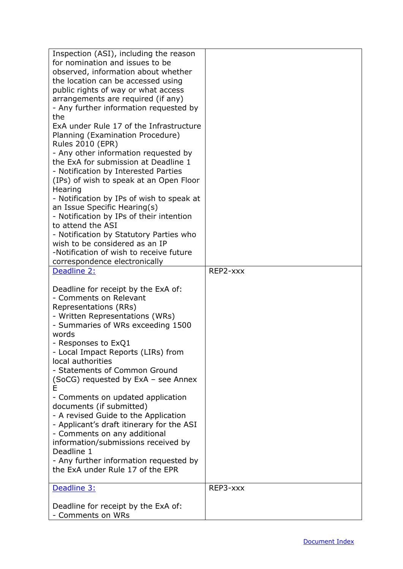| Inspection (ASI), including the reason<br>for nomination and issues to be<br>observed, information about whether<br>the location can be accessed using<br>public rights of way or what access<br>arrangements are required (if any)<br>- Any further information requested by                                                                                                                                                                                                                                                |          |
|------------------------------------------------------------------------------------------------------------------------------------------------------------------------------------------------------------------------------------------------------------------------------------------------------------------------------------------------------------------------------------------------------------------------------------------------------------------------------------------------------------------------------|----------|
| the<br>ExA under Rule 17 of the Infrastructure<br>Planning (Examination Procedure)<br><b>Rules 2010 (EPR)</b><br>- Any other information requested by                                                                                                                                                                                                                                                                                                                                                                        |          |
| the ExA for submission at Deadline 1<br>- Notification by Interested Parties<br>(IPs) of wish to speak at an Open Floor<br>Hearing                                                                                                                                                                                                                                                                                                                                                                                           |          |
| - Notification by IPs of wish to speak at<br>an Issue Specific Hearing(s)<br>- Notification by IPs of their intention<br>to attend the ASI                                                                                                                                                                                                                                                                                                                                                                                   |          |
| - Notification by Statutory Parties who<br>wish to be considered as an IP<br>-Notification of wish to receive future<br>correspondence electronically                                                                                                                                                                                                                                                                                                                                                                        |          |
| Deadline 2:                                                                                                                                                                                                                                                                                                                                                                                                                                                                                                                  | REP2-xxx |
| Deadline for receipt by the ExA of:<br>- Comments on Relevant<br>Representations (RRs)<br>- Written Representations (WRs)<br>- Summaries of WRs exceeding 1500<br>words<br>- Responses to ExQ1<br>- Local Impact Reports (LIRs) from<br>local authorities<br>- Statements of Common Ground<br>(SoCG) requested by ExA - see Annex<br>Е<br>- Comments on updated application<br>documents (if submitted)<br>- A revised Guide to the Application<br>- Applicant's draft itinerary for the ASI<br>- Comments on any additional |          |
| information/submissions received by<br>Deadline 1<br>- Any further information requested by                                                                                                                                                                                                                                                                                                                                                                                                                                  |          |
| the ExA under Rule 17 of the EPR                                                                                                                                                                                                                                                                                                                                                                                                                                                                                             |          |
| Deadline 3:                                                                                                                                                                                                                                                                                                                                                                                                                                                                                                                  | REP3-xxx |
| Deadline for receipt by the ExA of:<br>- Comments on WRs                                                                                                                                                                                                                                                                                                                                                                                                                                                                     |          |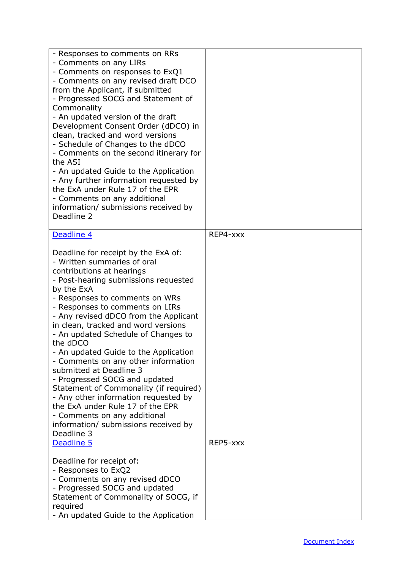| - Responses to comments on RRs<br>- Comments on any LIRs<br>- Comments on responses to ExQ1<br>- Comments on any revised draft DCO<br>from the Applicant, if submitted<br>- Progressed SOCG and Statement of<br>Commonality<br>- An updated version of the draft<br>Development Consent Order (dDCO) in<br>clean, tracked and word versions<br>- Schedule of Changes to the dDCO<br>- Comments on the second itinerary for<br>the ASI<br>- An updated Guide to the Application<br>- Any further information requested by<br>the ExA under Rule 17 of the EPR<br>- Comments on any additional<br>information/ submissions received by<br>Deadline 2                                                                    |          |
|-----------------------------------------------------------------------------------------------------------------------------------------------------------------------------------------------------------------------------------------------------------------------------------------------------------------------------------------------------------------------------------------------------------------------------------------------------------------------------------------------------------------------------------------------------------------------------------------------------------------------------------------------------------------------------------------------------------------------|----------|
| Deadline 4                                                                                                                                                                                                                                                                                                                                                                                                                                                                                                                                                                                                                                                                                                            | REP4-xxx |
| Deadline for receipt by the ExA of:<br>- Written summaries of oral<br>contributions at hearings<br>- Post-hearing submissions requested<br>by the ExA<br>- Responses to comments on WRs<br>- Responses to comments on LIRs<br>- Any revised dDCO from the Applicant<br>in clean, tracked and word versions<br>- An updated Schedule of Changes to<br>the dDCO<br>- An updated Guide to the Application<br>- Comments on any other information<br>submitted at Deadline 3<br>- Progressed SOCG and updated<br>Statement of Commonality (if required)<br>- Any other information requested by<br>the ExA under Rule 17 of the EPR<br>- Comments on any additional<br>information/ submissions received by<br>Deadline 3 |          |
| Deadline 5                                                                                                                                                                                                                                                                                                                                                                                                                                                                                                                                                                                                                                                                                                            | REP5-xxx |
| Deadline for receipt of:<br>- Responses to ExQ2<br>- Comments on any revised dDCO<br>- Progressed SOCG and updated<br>Statement of Commonality of SOCG, if<br>required<br>- An updated Guide to the Application                                                                                                                                                                                                                                                                                                                                                                                                                                                                                                       |          |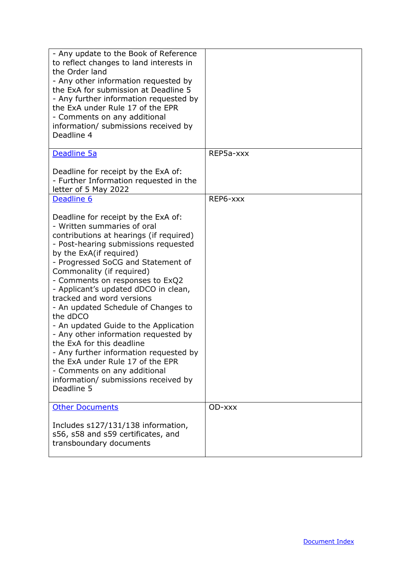| - Any update to the Book of Reference<br>to reflect changes to land interests in<br>the Order land<br>- Any other information requested by<br>the ExA for submission at Deadline 5<br>- Any further information requested by<br>the ExA under Rule 17 of the EPR<br>- Comments on any additional<br>information/ submissions received by<br>Deadline 4                                                                                                                                                                                                                                                                                                                                           |           |
|--------------------------------------------------------------------------------------------------------------------------------------------------------------------------------------------------------------------------------------------------------------------------------------------------------------------------------------------------------------------------------------------------------------------------------------------------------------------------------------------------------------------------------------------------------------------------------------------------------------------------------------------------------------------------------------------------|-----------|
| Deadline 5a<br>Deadline for receipt by the ExA of:<br>- Further Information requested in the                                                                                                                                                                                                                                                                                                                                                                                                                                                                                                                                                                                                     | REP5a-xxx |
| letter of 5 May 2022                                                                                                                                                                                                                                                                                                                                                                                                                                                                                                                                                                                                                                                                             |           |
| Deadline 6                                                                                                                                                                                                                                                                                                                                                                                                                                                                                                                                                                                                                                                                                       | REP6-xxx  |
| Deadline for receipt by the ExA of:<br>- Written summaries of oral<br>contributions at hearings (if required)<br>- Post-hearing submissions requested<br>by the ExA(if required)<br>- Progressed SoCG and Statement of<br>Commonality (if required)<br>- Comments on responses to ExQ2<br>- Applicant's updated dDCO in clean,<br>tracked and word versions<br>- An updated Schedule of Changes to<br>the dDCO<br>- An updated Guide to the Application<br>- Any other information requested by<br>the ExA for this deadline<br>- Any further information requested by<br>the ExA under Rule 17 of the EPR<br>- Comments on any additional<br>information/ submissions received by<br>Deadline 5 |           |
| <b>Other Documents</b><br>Includes s127/131/138 information,<br>s56, s58 and s59 certificates, and<br>transboundary documents                                                                                                                                                                                                                                                                                                                                                                                                                                                                                                                                                                    | OD-xxx    |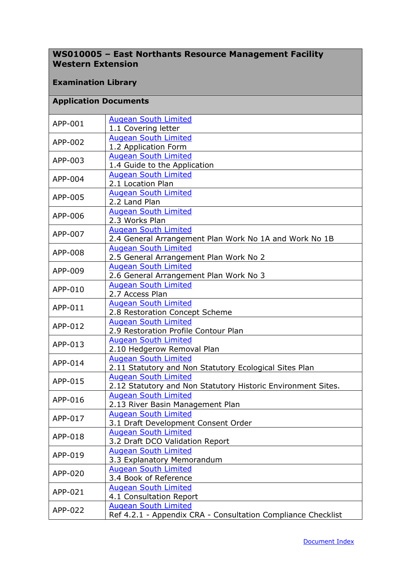## **WS010005 – East Northants Resource Management Facility Western Extension**

#### **Examination Library**

#### <span id="page-5-0"></span>**Application Documents**

| APP-001 | <b>Augean South Limited</b><br>1.1 Covering letter                  |
|---------|---------------------------------------------------------------------|
| APP-002 | <b>Augean South Limited</b>                                         |
|         | 1.2 Application Form                                                |
| APP-003 | <b>Augean South Limited</b>                                         |
|         | 1.4 Guide to the Application                                        |
| APP-004 | <b>Augean South Limited</b>                                         |
|         | 2.1 Location Plan                                                   |
| APP-005 | <b>Augean South Limited</b>                                         |
|         | 2.2 Land Plan                                                       |
| APP-006 | <b>Augean South Limited</b>                                         |
|         | 2.3 Works Plan                                                      |
| APP-007 | <b>Augean South Limited</b>                                         |
|         | 2.4 General Arrangement Plan Work No 1A and Work No 1B              |
| APP-008 | <b>Augean South Limited</b>                                         |
|         | 2.5 General Arrangement Plan Work No 2                              |
| APP-009 | <b>Augean South Limited</b>                                         |
|         | 2.6 General Arrangement Plan Work No 3                              |
| APP-010 | <b>Augean South Limited</b>                                         |
|         | 2.7 Access Plan                                                     |
| APP-011 | <b>Augean South Limited</b>                                         |
|         | 2.8 Restoration Concept Scheme                                      |
| APP-012 | <b>Augean South Limited</b><br>2.9 Restoration Profile Contour Plan |
|         | <b>Augean South Limited</b>                                         |
| APP-013 | 2.10 Hedgerow Removal Plan                                          |
|         | <b>Augean South Limited</b>                                         |
| APP-014 | 2.11 Statutory and Non Statutory Ecological Sites Plan              |
|         | <b>Augean South Limited</b>                                         |
| APP-015 | 2.12 Statutory and Non Statutory Historic Environment Sites.        |
|         | <b>Augean South Limited</b>                                         |
| APP-016 | 2.13 River Basin Management Plan                                    |
|         | <b>Augean South Limited</b>                                         |
| APP-017 | 3.1 Draft Development Consent Order                                 |
| APP-018 | <b>Augean South Limited</b>                                         |
|         | 3.2 Draft DCO Validation Report                                     |
| APP-019 | <b>Augean South Limited</b>                                         |
|         | 3.3 Explanatory Memorandum                                          |
| APP-020 | <b>Augean South Limited</b>                                         |
|         | 3.4 Book of Reference                                               |
| APP-021 | <b>Augean South Limited</b>                                         |
|         | 4.1 Consultation Report                                             |
| APP-022 | <b>Augean South Limited</b>                                         |
|         | Ref 4.2.1 - Appendix CRA - Consultation Compliance Checklist        |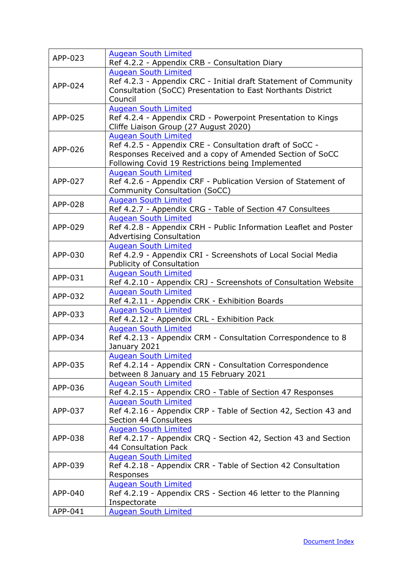| APP-023 | <b>Augean South Limited</b><br>Ref 4.2.2 - Appendix CRB - Consultation Diary                                                                                                                            |
|---------|---------------------------------------------------------------------------------------------------------------------------------------------------------------------------------------------------------|
| APP-024 | <b>Augean South Limited</b><br>Ref 4.2.3 - Appendix CRC - Initial draft Statement of Community<br>Consultation (SoCC) Presentation to East Northants District<br>Council                                |
| APP-025 | <b>Augean South Limited</b><br>Ref 4.2.4 - Appendix CRD - Powerpoint Presentation to Kings<br>Cliffe Liaison Group (27 August 2020)                                                                     |
| APP-026 | <b>Augean South Limited</b><br>Ref 4.2.5 - Appendix CRE - Consultation draft of SoCC -<br>Responses Received and a copy of Amended Section of SoCC<br>Following Covid 19 Restrictions being Implemented |
| APP-027 | <b>Augean South Limited</b><br>Ref 4.2.6 - Appendix CRF - Publication Version of Statement of<br><b>Community Consultation (SoCC)</b>                                                                   |
| APP-028 | <b>Augean South Limited</b><br>Ref 4.2.7 - Appendix CRG - Table of Section 47 Consultees                                                                                                                |
| APP-029 | <b>Augean South Limited</b><br>Ref 4.2.8 - Appendix CRH - Public Information Leaflet and Poster<br><b>Advertising Consultation</b>                                                                      |
| APP-030 | <b>Augean South Limited</b><br>Ref 4.2.9 - Appendix CRI - Screenshots of Local Social Media<br><b>Publicity of Consultation</b>                                                                         |
| APP-031 | <b>Augean South Limited</b><br>Ref 4.2.10 - Appendix CRJ - Screenshots of Consultation Website                                                                                                          |
| APP-032 | <b>Augean South Limited</b><br>Ref 4.2.11 - Appendix CRK - Exhibition Boards                                                                                                                            |
| APP-033 | <b>Augean South Limited</b><br>Ref 4.2.12 - Appendix CRL - Exhibition Pack                                                                                                                              |
| APP-034 | <b>Augean South Limited</b><br>Ref 4.2.13 - Appendix CRM - Consultation Correspondence to 8<br>January 2021                                                                                             |
| APP-035 | <b>Augean South Limited</b><br>Ref 4.2.14 - Appendix CRN - Consultation Correspondence<br>between 8 January and 15 February 2021                                                                        |
| APP-036 | <b>Augean South Limited</b><br>Ref 4.2.15 - Appendix CRO - Table of Section 47 Responses                                                                                                                |
| APP-037 | <b>Augean South Limited</b><br>Ref 4.2.16 - Appendix CRP - Table of Section 42, Section 43 and<br>Section 44 Consultees                                                                                 |
| APP-038 | <b>Augean South Limited</b><br>Ref 4.2.17 - Appendix CRQ - Section 42, Section 43 and Section<br>44 Consultation Pack                                                                                   |
| APP-039 | <b>Augean South Limited</b><br>Ref 4.2.18 - Appendix CRR - Table of Section 42 Consultation<br>Responses                                                                                                |
| APP-040 | <b>Augean South Limited</b><br>Ref 4.2.19 - Appendix CRS - Section 46 letter to the Planning<br>Inspectorate                                                                                            |
| APP-041 | <b>Augean South Limited</b>                                                                                                                                                                             |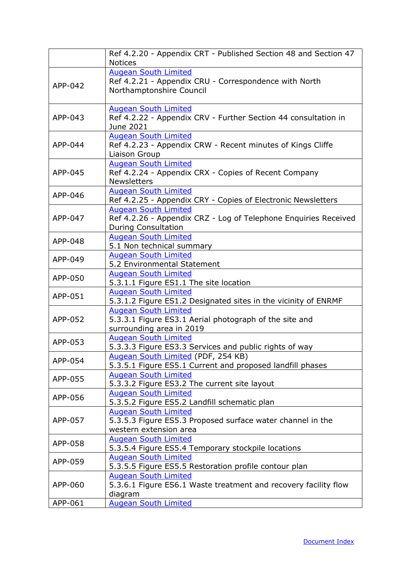|         | Ref 4.2.20 - Appendix CRT - Published Section 48 and Section 47<br><b>Notices</b>                                            |
|---------|------------------------------------------------------------------------------------------------------------------------------|
| APP-042 | <b>Augean South Limited</b><br>Ref 4.2.21 - Appendix CRU - Correspondence with North<br>Northamptonshire Council             |
| APP-043 | <b>Augean South Limited</b><br>Ref 4.2.22 - Appendix CRV - Further Section 44 consultation in<br>June 2021                   |
| APP-044 | <b>Augean South Limited</b><br>Ref 4.2.23 - Appendix CRW - Recent minutes of Kings Cliffe<br>Liaison Group                   |
| APP-045 | <b>Augean South Limited</b><br>Ref 4.2.24 - Appendix CRX - Copies of Recent Company<br><b>Newsletters</b>                    |
| APP-046 | <b>Augean South Limited</b><br>Ref 4.2.25 - Appendix CRY - Copies of Electronic Newsletters                                  |
| APP-047 | <b>Augean South Limited</b><br>Ref 4.2.26 - Appendix CRZ - Log of Telephone Enquiries Received<br><b>During Consultation</b> |
| APP-048 | <b>Augean South Limited</b><br>5.1 Non technical summary                                                                     |
| APP-049 | <b>Augean South Limited</b><br>5.2 Environmental Statement                                                                   |
| APP-050 | <b>Augean South Limited</b><br>5.3.1.1 Figure ES1.1 The site location                                                        |
| APP-051 | <b>Augean South Limited</b><br>5.3.1.2 Figure ES1.2 Designated sites in the vicinity of ENRMF                                |
| APP-052 | <b>Augean South Limited</b><br>5.3.3.1 Figure ES3.1 Aerial photograph of the site and<br>surrounding area in 2019            |
| APP-053 | <b>Augean South Limited</b><br>5.3.3.3 Figure ES3.3 Services and public rights of way                                        |
| APP-054 | Augean South Limited (PDF, 254 KB)<br>5.3.5.1 Figure ES5.1 Current and proposed landfill phases                              |
| APP-055 | <b>Augean South Limited</b><br>5.3.3.2 Figure ES3.2 The current site layout                                                  |
| APP-056 | <b>Augean South Limited</b><br>5.3.5.2 Figure ES5.2 Landfill schematic plan                                                  |
| APP-057 | <b>Augean South Limited</b><br>5.3.5.3 Figure ES5.3 Proposed surface water channel in the<br>western extension area          |
| APP-058 | <b>Augean South Limited</b><br>5.3.5.4 Figure ES5.4 Temporary stockpile locations                                            |
| APP-059 | <b>Augean South Limited</b><br>5.3.5.5 Figure ES5.5 Restoration profile contour plan                                         |
| APP-060 | <b>Augean South Limited</b><br>5.3.6.1 Figure ES6.1 Waste treatment and recovery facility flow<br>diagram                    |
| APP-061 | <b>Augean South Limited</b>                                                                                                  |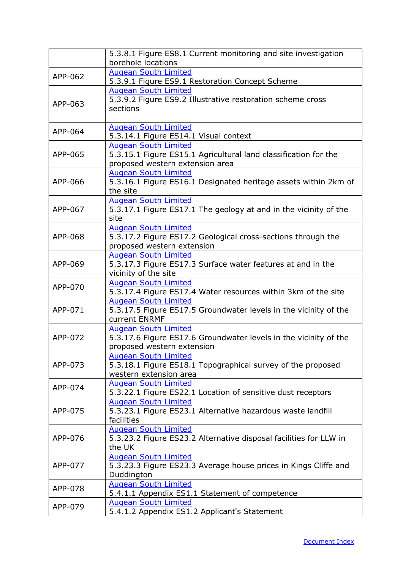|         | 5.3.8.1 Figure ES8.1 Current monitoring and site investigation    |
|---------|-------------------------------------------------------------------|
|         | borehole locations                                                |
| APP-062 | <b>Augean South Limited</b>                                       |
|         | 5.3.9.1 Figure ES9.1 Restoration Concept Scheme                   |
|         | <b>Augean South Limited</b>                                       |
|         | 5.3.9.2 Figure ES9.2 Illustrative restoration scheme cross        |
| APP-063 | sections                                                          |
|         |                                                                   |
| APP-064 | <b>Augean South Limited</b>                                       |
|         | 5.3.14.1 Figure ES14.1 Visual context                             |
|         | <b>Augean South Limited</b>                                       |
| APP-065 | 5.3.15.1 Figure ES15.1 Agricultural land classification for the   |
|         | proposed western extension area                                   |
|         | <b>Augean South Limited</b>                                       |
| APP-066 | 5.3.16.1 Figure ES16.1 Designated heritage assets within 2km of   |
|         | the site                                                          |
|         | <b>Augean South Limited</b>                                       |
| APP-067 | 5.3.17.1 Figure ES17.1 The geology at and in the vicinity of the  |
|         | site                                                              |
|         | <b>Augean South Limited</b>                                       |
| APP-068 | 5.3.17.2 Figure ES17.2 Geological cross-sections through the      |
|         | proposed western extension                                        |
|         | <b>Augean South Limited</b>                                       |
| APP-069 | 5.3.17.3 Figure ES17.3 Surface water features at and in the       |
|         | vicinity of the site                                              |
| APP-070 | <b>Augean South Limited</b>                                       |
|         | 5.3.17.4 Figure ES17.4 Water resources within 3km of the site     |
|         | <b>Augean South Limited</b>                                       |
| APP-071 | 5.3.17.5 Figure ES17.5 Groundwater levels in the vicinity of the  |
|         | current ENRMF                                                     |
|         | <b>Augean South Limited</b>                                       |
| APP-072 | 5.3.17.6 Figure ES17.6 Groundwater levels in the vicinity of the  |
|         | proposed western extension                                        |
|         | <b>Augean South Limited</b>                                       |
| APP-073 | 5.3.18.1 Figure ES18.1 Topographical survey of the proposed       |
|         | western extension area                                            |
| APP-074 | <b>Augean South Limited</b>                                       |
|         | 5.3.22.1 Figure ES22.1 Location of sensitive dust receptors       |
|         | <b>Augean South Limited</b>                                       |
| APP-075 | 5.3.23.1 Figure ES23.1 Alternative hazardous waste landfill       |
|         | facilities                                                        |
|         | <b>Augean South Limited</b>                                       |
| APP-076 | 5.3.23.2 Figure ES23.2 Alternative disposal facilities for LLW in |
|         | the UK                                                            |
| APP-077 | <b>Augean South Limited</b>                                       |
|         | 5.3.23.3 Figure ES23.3 Average house prices in Kings Cliffe and   |
|         | Duddington                                                        |
| APP-078 | <b>Augean South Limited</b>                                       |
|         | 5.4.1.1 Appendix ES1.1 Statement of competence                    |
| APP-079 | <b>Augean South Limited</b>                                       |
|         | 5.4.1.2 Appendix ES1.2 Applicant's Statement                      |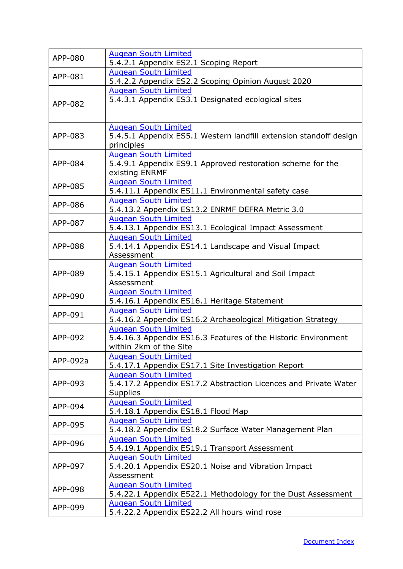| APP-080  | <b>Augean South Limited</b><br>5.4.2.1 Appendix ES2.1 Scoping Report              |
|----------|-----------------------------------------------------------------------------------|
| APP-081  | <b>Augean South Limited</b>                                                       |
|          | 5.4.2.2 Appendix ES2.2 Scoping Opinion August 2020                                |
|          | <b>Augean South Limited</b>                                                       |
| APP-082  | 5.4.3.1 Appendix ES3.1 Designated ecological sites                                |
|          |                                                                                   |
|          | <b>Augean South Limited</b>                                                       |
| APP-083  | 5.4.5.1 Appendix ES5.1 Western landfill extension standoff design                 |
|          | principles                                                                        |
|          | <b>Augean South Limited</b>                                                       |
| APP-084  | 5.4.9.1 Appendix ES9.1 Approved restoration scheme for the                        |
|          | existing ENRMF                                                                    |
| APP-085  | <b>Augean South Limited</b>                                                       |
|          | 5.4.11.1 Appendix ES11.1 Environmental safety case                                |
| APP-086  | <b>Augean South Limited</b><br>5.4.13.2 Appendix ES13.2 ENRMF DEFRA Metric 3.0    |
|          | <b>Augean South Limited</b>                                                       |
| APP-087  | 5.4.13.1 Appendix ES13.1 Ecological Impact Assessment                             |
|          | <b>Augean South Limited</b>                                                       |
| APP-088  | 5.4.14.1 Appendix ES14.1 Landscape and Visual Impact                              |
|          | Assessment                                                                        |
|          | <b>Augean South Limited</b>                                                       |
| APP-089  | 5.4.15.1 Appendix ES15.1 Agricultural and Soil Impact                             |
|          | Assessment<br><b>Augean South Limited</b>                                         |
| APP-090  | 5.4.16.1 Appendix ES16.1 Heritage Statement                                       |
|          | <b>Augean South Limited</b>                                                       |
| APP-091  | 5.4.16.2 Appendix ES16.2 Archaeological Mitigation Strategy                       |
|          | <b>Augean South Limited</b>                                                       |
| APP-092  | 5.4.16.3 Appendix ES16.3 Features of the Historic Environment                     |
|          | within 2km of the Site                                                            |
| APP-092a | <b>Augean South Limited</b><br>5.4.17.1 Appendix ES17.1 Site Investigation Report |
|          | <b>Augean South Limited</b>                                                       |
| APP-093  | 5.4.17.2 Appendix ES17.2 Abstraction Licences and Private Water                   |
|          | <b>Supplies</b>                                                                   |
| APP-094  | <b>Augean South Limited</b>                                                       |
|          | 5.4.18.1 Appendix ES18.1 Flood Map                                                |
| APP-095  | <b>Augean South Limited</b>                                                       |
|          | 5.4.18.2 Appendix ES18.2 Surface Water Management Plan                            |
| APP-096  | <b>Augean South Limited</b><br>5.4.19.1 Appendix ES19.1 Transport Assessment      |
|          | <b>Augean South Limited</b>                                                       |
| APP-097  | 5.4.20.1 Appendix ES20.1 Noise and Vibration Impact                               |
|          | Assessment                                                                        |
| APP-098  | <b>Augean South Limited</b>                                                       |
|          | 5.4.22.1 Appendix ES22.1 Methodology for the Dust Assessment                      |
| APP-099  | <b>Augean South Limited</b>                                                       |
|          | 5.4.22.2 Appendix ES22.2 All hours wind rose                                      |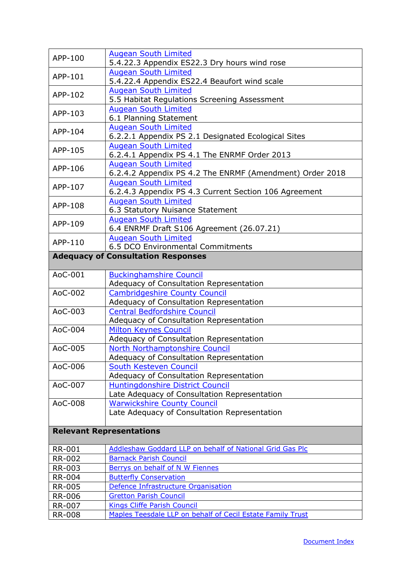<span id="page-10-1"></span><span id="page-10-0"></span>

| APP-100                         | <b>Augean South Limited</b>                                                 |  |
|---------------------------------|-----------------------------------------------------------------------------|--|
|                                 | 5.4.22.3 Appendix ES22.3 Dry hours wind rose<br><b>Augean South Limited</b> |  |
| APP-101                         | 5.4.22.4 Appendix ES22.4 Beaufort wind scale                                |  |
| APP-102                         | <b>Augean South Limited</b>                                                 |  |
|                                 | 5.5 Habitat Regulations Screening Assessment                                |  |
|                                 | <b>Augean South Limited</b>                                                 |  |
| APP-103                         | 6.1 Planning Statement                                                      |  |
| APP-104                         | <b>Augean South Limited</b>                                                 |  |
|                                 | 6.2.2.1 Appendix PS 2.1 Designated Ecological Sites                         |  |
| APP-105                         | <b>Augean South Limited</b>                                                 |  |
|                                 | 6.2.4.1 Appendix PS 4.1 The ENRMF Order 2013                                |  |
| APP-106                         | <b>Augean South Limited</b>                                                 |  |
|                                 | 6.2.4.2 Appendix PS 4.2 The ENRMF (Amendment) Order 2018                    |  |
| APP-107                         | <b>Augean South Limited</b>                                                 |  |
|                                 | 6.2.4.3 Appendix PS 4.3 Current Section 106 Agreement                       |  |
| APP-108                         | <b>Augean South Limited</b>                                                 |  |
|                                 | 6.3 Statutory Nuisance Statement                                            |  |
| APP-109                         | <b>Augean South Limited</b>                                                 |  |
|                                 | 6.4 ENRMF Draft S106 Agreement (26.07.21)<br><b>Augean South Limited</b>    |  |
| APP-110                         | 6.5 DCO Environmental Commitments                                           |  |
|                                 | <b>Adequacy of Consultation Responses</b>                                   |  |
|                                 |                                                                             |  |
| AoC-001                         | <b>Buckinghamshire Council</b>                                              |  |
|                                 | Adequacy of Consultation Representation                                     |  |
| AoC-002                         | <b>Cambridgeshire County Council</b>                                        |  |
|                                 | Adequacy of Consultation Representation                                     |  |
| AoC-003                         | <b>Central Bedfordshire Council</b>                                         |  |
|                                 | Adequacy of Consultation Representation                                     |  |
| AoC-004                         | <b>Milton Keynes Council</b>                                                |  |
|                                 | Adequacy of Consultation Representation                                     |  |
| AoC-005                         | North Northamptonshire Council                                              |  |
| AoC-006                         | Adequacy of Consultation Representation<br>South Kesteven Council           |  |
|                                 | Adequacy of Consultation Representation                                     |  |
| AoC-007                         | <b>Huntingdonshire District Council</b>                                     |  |
|                                 | Late Adequacy of Consultation Representation                                |  |
| AoC-008                         | <b>Warwickshire County Council</b>                                          |  |
|                                 | Late Adequacy of Consultation Representation                                |  |
|                                 |                                                                             |  |
| <b>Relevant Representations</b> |                                                                             |  |
| <b>RR-001</b>                   | Addleshaw Goddard LLP on behalf of National Grid Gas Plc                    |  |
| <b>RR-002</b>                   | <b>Barnack Parish Council</b>                                               |  |
| RR-003                          | Berrys on behalf of N W Fiennes                                             |  |
| <b>RR-004</b>                   | <b>Butterfly Conservation</b>                                               |  |
| <b>RR-005</b>                   | Defence Infrastructure Organisation                                         |  |
| <b>RR-006</b>                   | <b>Gretton Parish Council</b>                                               |  |
| <b>RR-007</b>                   | <b>Kings Cliffe Parish Council</b>                                          |  |
| <b>RR-008</b>                   | Maples Teesdale LLP on behalf of Cecil Estate Family Trust                  |  |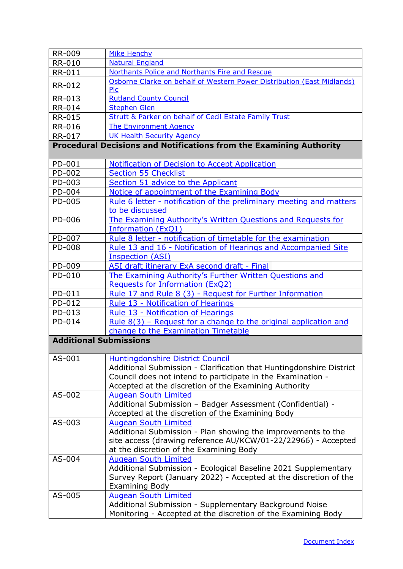<span id="page-11-1"></span><span id="page-11-0"></span>

| <b>RR-009</b>                 | Mike Henchy                                                                   |
|-------------------------------|-------------------------------------------------------------------------------|
| <b>RR-010</b>                 | <b>Natural England</b>                                                        |
| <b>RR-011</b>                 | Northants Police and Northants Fire and Rescue                                |
| <b>RR-012</b>                 | Osborne Clarke on behalf of Western Power Distribution (East Midlands)<br>Plc |
| RR-013                        | <b>Rutland County Council</b>                                                 |
| <b>RR-014</b>                 | <b>Stephen Glen</b>                                                           |
| <b>RR-015</b>                 | <b>Strutt &amp; Parker on behalf of Cecil Estate Family Trust</b>             |
| <b>RR-016</b>                 | <b>The Environment Agency</b>                                                 |
| <b>RR-017</b>                 | <b>UK Health Security Agency</b>                                              |
|                               | Procedural Decisions and Notifications from the Examining Authority           |
| PD-001                        | <b>Notification of Decision to Accept Application</b>                         |
| PD-002                        | <b>Section 55 Checklist</b>                                                   |
| PD-003                        | Section 51 advice to the Applicant                                            |
| PD-004                        | Notice of appointment of the Examining Body                                   |
| PD-005                        | Rule 6 letter - notification of the preliminary meeting and matters           |
|                               | to be discussed                                                               |
| PD-006                        | The Examining Authority's Written Questions and Requests for                  |
|                               | <b>Information (ExQ1)</b>                                                     |
| PD-007                        | Rule 8 letter - notification of timetable for the examination                 |
| PD-008                        | Rule 13 and 16 - Notification of Hearings and Accompanied Site                |
|                               | <b>Inspection (ASI)</b>                                                       |
| PD-009                        | ASI draft itinerary ExA second draft - Final                                  |
| PD-010                        | The Examining Authority's Further Written Questions and                       |
|                               | <b>Requests for Information (ExQ2)</b>                                        |
| PD-011                        | Rule 17 and Rule 8 (3) - Request for Further Information                      |
| PD-012                        | Rule 13 - Notification of Hearings                                            |
| PD-013                        | Rule 13 - Notification of Hearings                                            |
| PD-014                        | Rule $8(3)$ – Request for a change to the original application and            |
|                               | change to the Examination Timetable                                           |
| <b>Additional Submissions</b> |                                                                               |
| AS-001                        | <b>Huntingdonshire District Council</b>                                       |
|                               | Additional Submission - Clarification that Huntingdonshire District           |
|                               | Council does not intend to participate in the Examination -                   |
|                               | Accepted at the discretion of the Examining Authority                         |
| AS-002                        | <b>Augean South Limited</b>                                                   |
|                               | Additional Submission - Badger Assessment (Confidential) -                    |
|                               | Accepted at the discretion of the Examining Body                              |
| AS-003                        | <b>Augean South Limited</b>                                                   |
|                               | Additional Submission - Plan showing the improvements to the                  |
|                               | site access (drawing reference AU/KCW/01-22/22966) - Accepted                 |
|                               | at the discretion of the Examining Body                                       |
| AS-004                        | <b>Augean South Limited</b>                                                   |
|                               | Additional Submission - Ecological Baseline 2021 Supplementary                |
|                               | Survey Report (January 2022) - Accepted at the discretion of the              |
|                               | <b>Examining Body</b>                                                         |
| AS-005                        | <b>Augean South Limited</b>                                                   |
|                               | Additional Submission - Supplementary Background Noise                        |
|                               | Monitoring - Accepted at the discretion of the Examining Body                 |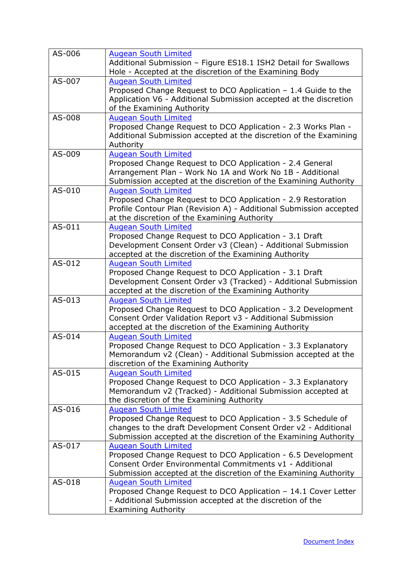| AS-006 | <b>Augean South Limited</b><br>Additional Submission - Figure ES18.1 ISH2 Detail for Swallows<br>Hole - Accepted at the discretion of the Examining Body                                                                          |
|--------|-----------------------------------------------------------------------------------------------------------------------------------------------------------------------------------------------------------------------------------|
| AS-007 | <b>Augean South Limited</b><br>Proposed Change Request to DCO Application - 1.4 Guide to the<br>Application V6 - Additional Submission accepted at the discretion<br>of the Examining Authority                                   |
| AS-008 | <b>Augean South Limited</b><br>Proposed Change Request to DCO Application - 2.3 Works Plan -<br>Additional Submission accepted at the discretion of the Examining<br>Authority                                                    |
| AS-009 | <b>Augean South Limited</b><br>Proposed Change Request to DCO Application - 2.4 General<br>Arrangement Plan - Work No 1A and Work No 1B - Additional<br>Submission accepted at the discretion of the Examining Authority          |
| AS-010 | <b>Augean South Limited</b><br>Proposed Change Request to DCO Application - 2.9 Restoration<br>Profile Contour Plan (Revision A) - Additional Submission accepted<br>at the discretion of the Examining Authority                 |
| AS-011 | <b>Augean South Limited</b><br>Proposed Change Request to DCO Application - 3.1 Draft<br>Development Consent Order v3 (Clean) - Additional Submission<br>accepted at the discretion of the Examining Authority                    |
| AS-012 | <b>Augean South Limited</b><br>Proposed Change Request to DCO Application - 3.1 Draft<br>Development Consent Order v3 (Tracked) - Additional Submission<br>accepted at the discretion of the Examining Authority                  |
| AS-013 | <b>Augean South Limited</b><br>Proposed Change Request to DCO Application - 3.2 Development<br>Consent Order Validation Report v3 - Additional Submission<br>accepted at the discretion of the Examining Authority                |
| AS-014 | <b>Augean South Limited</b><br>Proposed Change Request to DCO Application - 3.3 Explanatory<br>Memorandum v2 (Clean) - Additional Submission accepted at the<br>discretion of the Examining Authority                             |
| AS-015 | <b>Augean South Limited</b><br>Proposed Change Request to DCO Application - 3.3 Explanatory<br>Memorandum v2 (Tracked) - Additional Submission accepted at<br>the discretion of the Examining Authority                           |
| AS-016 | <b>Augean South Limited</b><br>Proposed Change Request to DCO Application - 3.5 Schedule of<br>changes to the draft Development Consent Order v2 - Additional<br>Submission accepted at the discretion of the Examining Authority |
| AS-017 | <b>Augean South Limited</b><br>Proposed Change Request to DCO Application - 6.5 Development<br>Consent Order Environmental Commitments v1 - Additional<br>Submission accepted at the discretion of the Examining Authority        |
| AS-018 | <b>Augean South Limited</b><br>Proposed Change Request to DCO Application - 14.1 Cover Letter<br>- Additional Submission accepted at the discretion of the<br><b>Examining Authority</b>                                          |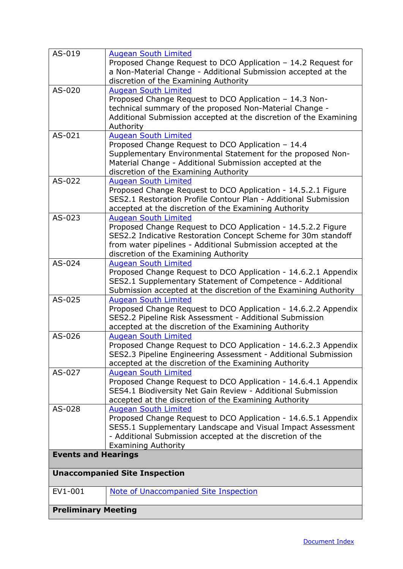<span id="page-13-0"></span>

| AS-019                     | <b>Augean South Limited</b><br>Proposed Change Request to DCO Application - 14.2 Request for<br>a Non-Material Change - Additional Submission accepted at the<br>discretion of the Examining Authority                                                                |  |
|----------------------------|-----------------------------------------------------------------------------------------------------------------------------------------------------------------------------------------------------------------------------------------------------------------------|--|
| $AS-020$                   | <b>Augean South Limited</b><br>Proposed Change Request to DCO Application - 14.3 Non-<br>technical summary of the proposed Non-Material Change -<br>Additional Submission accepted at the discretion of the Examining<br>Authority                                    |  |
| $AS-021$                   | <b>Augean South Limited</b><br>Proposed Change Request to DCO Application - 14.4<br>Supplementary Environmental Statement for the proposed Non-<br>Material Change - Additional Submission accepted at the<br>discretion of the Examining Authority                   |  |
| AS-022                     | <b>Augean South Limited</b><br>Proposed Change Request to DCO Application - 14.5.2.1 Figure<br>SES2.1 Restoration Profile Contour Plan - Additional Submission<br>accepted at the discretion of the Examining Authority                                               |  |
| AS-023                     | <b>Augean South Limited</b><br>Proposed Change Request to DCO Application - 14.5.2.2 Figure<br>SES2.2 Indicative Restoration Concept Scheme for 30m standoff<br>from water pipelines - Additional Submission accepted at the<br>discretion of the Examining Authority |  |
| $AS-024$                   | <b>Augean South Limited</b><br>Proposed Change Request to DCO Application - 14.6.2.1 Appendix<br>SES2.1 Supplementary Statement of Competence - Additional<br>Submission accepted at the discretion of the Examining Authority                                        |  |
| AS-025                     | <b>Augean South Limited</b><br>Proposed Change Request to DCO Application - 14.6.2.2 Appendix<br>SES2.2 Pipeline Risk Assessment - Additional Submission<br>accepted at the discretion of the Examining Authority                                                     |  |
| AS-026                     | <b>Augean South Limited</b><br>Proposed Change Request to DCO Application - 14.6.2.3 Appendix<br>SES2.3 Pipeline Engineering Assessment - Additional Submission<br>accepted at the discretion of the Examining Authority                                              |  |
| AS-027                     | <b>Augean South Limited</b><br>Proposed Change Request to DCO Application - 14.6.4.1 Appendix<br>SES4.1 Biodiversity Net Gain Review - Additional Submission<br>accepted at the discretion of the Examining Authority                                                 |  |
| AS-028                     | <b>Augean South Limited</b><br>Proposed Change Request to DCO Application - 14.6.5.1 Appendix<br>SES5.1 Supplementary Landscape and Visual Impact Assessment<br>- Additional Submission accepted at the discretion of the<br><b>Examining Authority</b>               |  |
| <b>Events and Hearings</b> |                                                                                                                                                                                                                                                                       |  |
|                            | <b>Unaccompanied Site Inspection</b>                                                                                                                                                                                                                                  |  |
| EV1-001                    | Note of Unaccompanied Site Inspection                                                                                                                                                                                                                                 |  |
| <b>Preliminary Meeting</b> |                                                                                                                                                                                                                                                                       |  |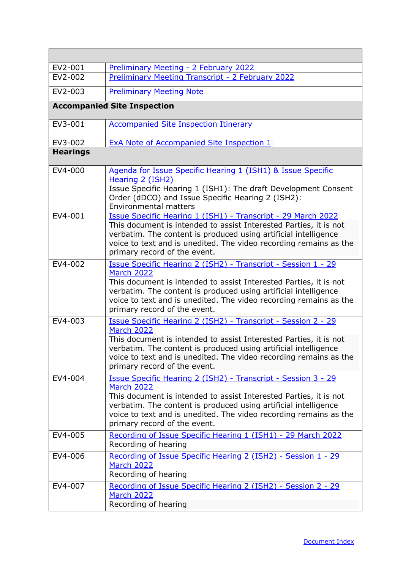| EV2-001         | <b>Preliminary Meeting - 2 February 2022</b>                                                                                                                                                                                                                                                                                                  |
|-----------------|-----------------------------------------------------------------------------------------------------------------------------------------------------------------------------------------------------------------------------------------------------------------------------------------------------------------------------------------------|
| EV2-002         | <b>Preliminary Meeting Transcript - 2 February 2022</b>                                                                                                                                                                                                                                                                                       |
| EV2-003         | <b>Preliminary Meeting Note</b>                                                                                                                                                                                                                                                                                                               |
|                 | <b>Accompanied Site Inspection</b>                                                                                                                                                                                                                                                                                                            |
| EV3-001         | <b>Accompanied Site Inspection Itinerary</b>                                                                                                                                                                                                                                                                                                  |
| EV3-002         | <b>ExA Note of Accompanied Site Inspection 1</b>                                                                                                                                                                                                                                                                                              |
| <b>Hearings</b> |                                                                                                                                                                                                                                                                                                                                               |
| EV4-000         | Agenda for Issue Specific Hearing 1 (ISH1) & Issue Specific<br>Hearing 2 (ISH2)<br>Issue Specific Hearing 1 (ISH1): The draft Development Consent<br>Order (dDCO) and Issue Specific Hearing 2 (ISH2):<br><b>Environmental matters</b>                                                                                                        |
| EV4-001         | Issue Specific Hearing 1 (ISH1) - Transcript - 29 March 2022<br>This document is intended to assist Interested Parties, it is not<br>verbatim. The content is produced using artificial intelligence<br>voice to text and is unedited. The video recording remains as the<br>primary record of the event.                                     |
| EV4-002         | Issue Specific Hearing 2 (ISH2) - Transcript - Session 1 - 29<br><b>March 2022</b><br>This document is intended to assist Interested Parties, it is not<br>verbatim. The content is produced using artificial intelligence<br>voice to text and is unedited. The video recording remains as the<br>primary record of the event.               |
| EV4-003         | Issue Specific Hearing 2 (ISH2) - Transcript - Session 2 - 29<br><b>March 2022</b><br>This document is intended to assist Interested Parties, it is not<br>verbatim. The content is produced using artificial intelligence<br>voice to text and is unedited. The video recording remains as the<br>primary record of the event.               |
| EV4-004         | <u><b>Issue Specific Hearing 2 (ISH2) - Transcript - Session 3 - 29</b></u><br><b>March 2022</b><br>This document is intended to assist Interested Parties, it is not<br>verbatim. The content is produced using artificial intelligence<br>voice to text and is unedited. The video recording remains as the<br>primary record of the event. |
| EV4-005         | Recording of Issue Specific Hearing 1 (ISH1) - 29 March 2022<br>Recording of hearing                                                                                                                                                                                                                                                          |
| EV4-006         | Recording of Issue Specific Hearing 2 (ISH2) - Session 1 - 29<br><b>March 2022</b><br>Recording of hearing                                                                                                                                                                                                                                    |
| EV4-007         | Recording of Issue Specific Hearing 2 (ISH2) - Session 2 - 29<br><b>March 2022</b><br>Recording of hearing                                                                                                                                                                                                                                    |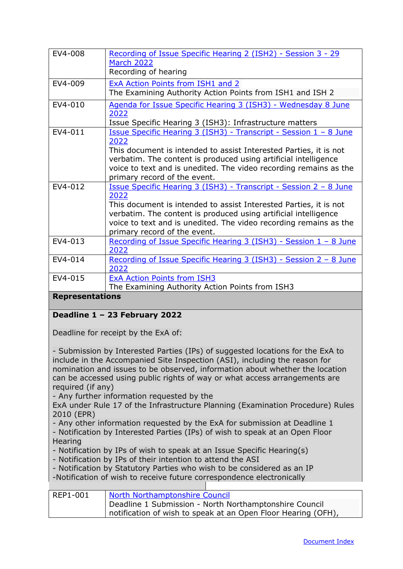| EV4-008                | Recording of Issue Specific Hearing 2 (ISH2) - Session 3 - 29<br><b>March 2022</b> |
|------------------------|------------------------------------------------------------------------------------|
|                        | Recording of hearing                                                               |
|                        |                                                                                    |
| EV4-009                | ExA Action Points from ISH1 and 2                                                  |
|                        | The Examining Authority Action Points from ISH1 and ISH 2                          |
| EV4-010                | Agenda for Issue Specific Hearing 3 (ISH3) - Wednesday 8 June                      |
|                        | 2022                                                                               |
|                        | Issue Specific Hearing 3 (ISH3): Infrastructure matters                            |
| EV4-011                | <u> Issue Specific Hearing 3 (ISH3) - Transcript - Session 1 - 8 June</u>          |
|                        | 2022                                                                               |
|                        | This document is intended to assist Interested Parties, it is not                  |
|                        | verbatim. The content is produced using artificial intelligence                    |
|                        | voice to text and is unedited. The video recording remains as the                  |
|                        | primary record of the event.                                                       |
| EV4-012                | <u> Issue Specific Hearing 3 (ISH3) - Transcript - Session 2 – 8 June</u>          |
|                        | 2022                                                                               |
|                        | This document is intended to assist Interested Parties, it is not                  |
|                        | verbatim. The content is produced using artificial intelligence                    |
|                        | voice to text and is unedited. The video recording remains as the                  |
|                        | primary record of the event.                                                       |
| EV4-013                | Recording of Issue Specific Hearing 3 (ISH3) - Session 1 - 8 June                  |
|                        | 2022                                                                               |
| EV4-014                | Recording of Issue Specific Hearing 3 (ISH3) - Session 2 - 8 June                  |
|                        | 2022                                                                               |
| EV4-015                | <b>ExA Action Points from ISH3</b>                                                 |
|                        | The Examining Authority Action Points from ISH3                                    |
| <b>Donrocontations</b> |                                                                                    |

#### <span id="page-15-0"></span>**Representations**

#### <span id="page-15-1"></span>**Deadline 1 – 23 February 2022**

Deadline for receipt by the ExA of:

- Submission by Interested Parties (IPs) of suggested locations for the ExA to include in the Accompanied Site Inspection (ASI), including the reason for nomination and issues to be observed, information about whether the location can be accessed using public rights of way or what access arrangements are required (if any)

- Any further information requested by the

ExA under Rule 17 of the Infrastructure Planning (Examination Procedure) Rules 2010 (EPR)

- Any other information requested by the ExA for submission at Deadline 1

- Notification by Interested Parties (IPs) of wish to speak at an Open Floor **Hearing** 

- Notification by IPs of wish to speak at an Issue Specific Hearing(s)
- Notification by IPs of their intention to attend the ASI
- Notification by Statutory Parties who wish to be considered as an IP

-Notification of wish to receive future correspondence electronically

| REP1-001 | North Northamptonshire Council                                |
|----------|---------------------------------------------------------------|
|          | Deadline 1 Submission - North Northamptonshire Council        |
|          | notification of wish to speak at an Open Floor Hearing (OFH), |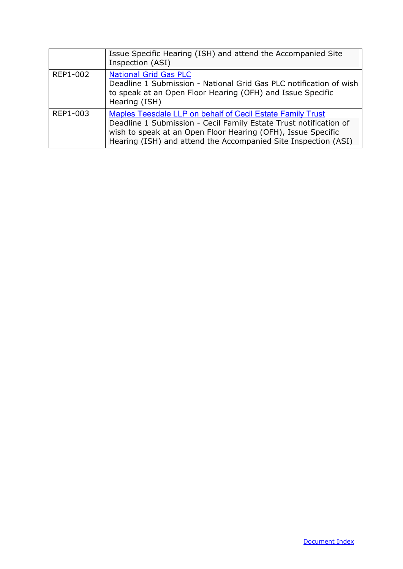<span id="page-16-0"></span>

|          | Issue Specific Hearing (ISH) and attend the Accompanied Site<br>Inspection (ASI)                                                                                                                                                                                  |
|----------|-------------------------------------------------------------------------------------------------------------------------------------------------------------------------------------------------------------------------------------------------------------------|
| REP1-002 | <b>National Grid Gas PLC</b><br>Deadline 1 Submission - National Grid Gas PLC notification of wish<br>to speak at an Open Floor Hearing (OFH) and Issue Specific<br>Hearing (ISH)                                                                                 |
| REP1-003 | Maples Teesdale LLP on behalf of Cecil Estate Family Trust<br>Deadline 1 Submission - Cecil Family Estate Trust notification of<br>wish to speak at an Open Floor Hearing (OFH), Issue Specific<br>Hearing (ISH) and attend the Accompanied Site Inspection (ASI) |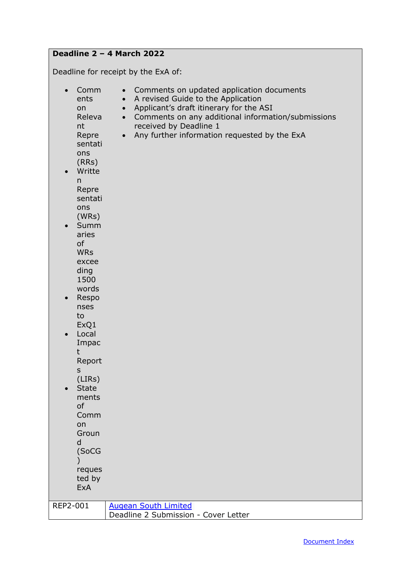## **Deadline 2 – 4 March 2022**

Deadline for receipt by the ExA of:

| Comm<br>$\bullet$<br>ents<br>on<br>Releva<br>nt<br>Repre<br>sentati<br>ons<br>(RRs)<br>Writte<br>$\bullet$<br>n<br>Repre<br>sentati<br>ons<br>(WRs)<br>Summ<br>aries<br>of<br><b>WRs</b><br>excee<br>ding<br>1500<br>words<br>Respo<br>$\bullet$<br>nses<br>to<br>ExQ1<br>Local<br>$\bullet$<br>Impac<br>t<br>Report<br>$\sf S$<br>(LIRS)<br><b>State</b><br>$\bullet$<br>ments<br>of<br>Comm<br>on<br>Groun<br>d<br>(SoCG<br>reques<br>ted by<br><b>ExA</b> | Comments on updated application documents<br>$\bullet$<br>A revised Guide to the Application<br>$\bullet$<br>Applicant's draft itinerary for the ASI<br>$\bullet$<br>• Comments on any additional information/submissions<br>received by Deadline 1<br>Any further information requested by the ExA<br>$\bullet$ |
|--------------------------------------------------------------------------------------------------------------------------------------------------------------------------------------------------------------------------------------------------------------------------------------------------------------------------------------------------------------------------------------------------------------------------------------------------------------|------------------------------------------------------------------------------------------------------------------------------------------------------------------------------------------------------------------------------------------------------------------------------------------------------------------|
| REP2-001                                                                                                                                                                                                                                                                                                                                                                                                                                                     | <b>Augean South Limited</b><br>Deadline 2 Submission - Cover Letter                                                                                                                                                                                                                                              |
|                                                                                                                                                                                                                                                                                                                                                                                                                                                              |                                                                                                                                                                                                                                                                                                                  |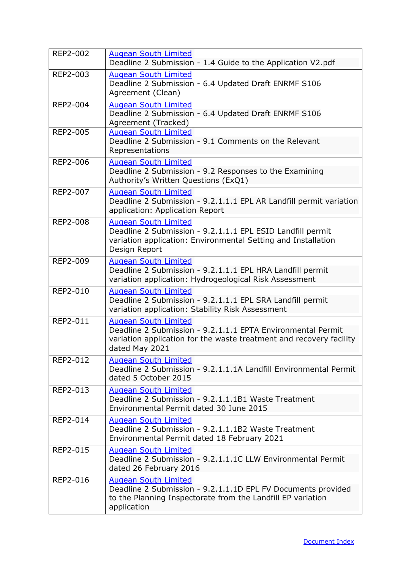| REP2-002        | <b>Augean South Limited</b><br>Deadline 2 Submission - 1.4 Guide to the Application V2.pdf                                                                                          |
|-----------------|-------------------------------------------------------------------------------------------------------------------------------------------------------------------------------------|
| REP2-003        | <b>Augean South Limited</b><br>Deadline 2 Submission - 6.4 Updated Draft ENRMF S106<br>Agreement (Clean)                                                                            |
| REP2-004        | <b>Augean South Limited</b><br>Deadline 2 Submission - 6.4 Updated Draft ENRMF S106<br>Agreement (Tracked)                                                                          |
| REP2-005        | <b>Augean South Limited</b><br>Deadline 2 Submission - 9.1 Comments on the Relevant<br>Representations                                                                              |
| <b>REP2-006</b> | <b>Augean South Limited</b><br>Deadline 2 Submission - 9.2 Responses to the Examining<br>Authority's Written Questions (ExQ1)                                                       |
| REP2-007        | <b>Augean South Limited</b><br>Deadline 2 Submission - 9.2.1.1.1 EPL AR Landfill permit variation<br>application: Application Report                                                |
| <b>REP2-008</b> | <b>Augean South Limited</b><br>Deadline 2 Submission - 9.2.1.1.1 EPL ESID Landfill permit<br>variation application: Environmental Setting and Installation<br>Design Report         |
| REP2-009        | <b>Augean South Limited</b><br>Deadline 2 Submission - 9.2.1.1.1 EPL HRA Landfill permit<br>variation application: Hydrogeological Risk Assessment                                  |
| REP2-010        | <b>Augean South Limited</b><br>Deadline 2 Submission - 9.2.1.1.1 EPL SRA Landfill permit<br>variation application: Stability Risk Assessment                                        |
| REP2-011        | <b>Augean South Limited</b><br>Deadline 2 Submission - 9.2.1.1.1 EPTA Environmental Permit<br>variation application for the waste treatment and recovery facility<br>dated May 2021 |
| REP2-012        | <b>Augean South Limited</b><br>Deadline 2 Submission - 9.2.1.1.1A Landfill Environmental Permit<br>dated 5 October 2015                                                             |
| REP2-013        | <b>Augean South Limited</b><br>Deadline 2 Submission - 9.2.1.1.1B1 Waste Treatment<br>Environmental Permit dated 30 June 2015                                                       |
| REP2-014        | <b>Augean South Limited</b><br>Deadline 2 Submission - 9.2.1.1.1B2 Waste Treatment<br>Environmental Permit dated 18 February 2021                                                   |
| REP2-015        | <b>Augean South Limited</b><br>Deadline 2 Submission - 9.2.1.1.1C LLW Environmental Permit<br>dated 26 February 2016                                                                |
| REP2-016        | <b>Augean South Limited</b><br>Deadline 2 Submission - 9.2.1.1.1D EPL FV Documents provided<br>to the Planning Inspectorate from the Landfill EP variation<br>application           |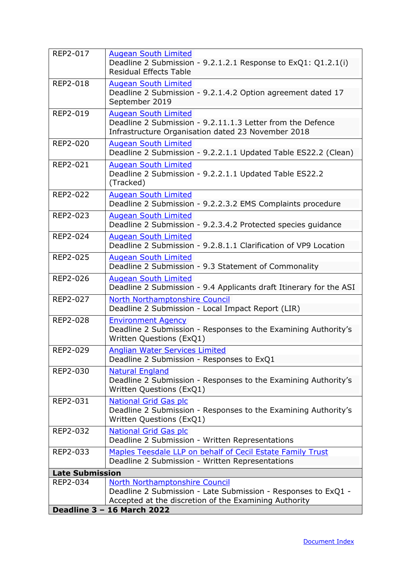<span id="page-19-1"></span><span id="page-19-0"></span>

| REP2-017               | <b>Augean South Limited</b><br>Deadline 2 Submission - 9.2.1.2.1 Response to ExQ1: Q1.2.1(i)<br><b>Residual Effects Table</b>                   |
|------------------------|-------------------------------------------------------------------------------------------------------------------------------------------------|
| <b>REP2-018</b>        | <b>Augean South Limited</b><br>Deadline 2 Submission - 9.2.1.4.2 Option agreement dated 17<br>September 2019                                    |
| REP2-019               | <b>Augean South Limited</b><br>Deadline 2 Submission - 9.2.11.1.3 Letter from the Defence<br>Infrastructure Organisation dated 23 November 2018 |
| <b>REP2-020</b>        | <b>Augean South Limited</b><br>Deadline 2 Submission - 9.2.2.1.1 Updated Table ES22.2 (Clean)                                                   |
| REP2-021               | <b>Augean South Limited</b><br>Deadline 2 Submission - 9.2.2.1.1 Updated Table ES22.2<br>(Tracked)                                              |
| <b>REP2-022</b>        | <b>Augean South Limited</b><br>Deadline 2 Submission - 9.2.2.3.2 EMS Complaints procedure                                                       |
| REP2-023               | <b>Augean South Limited</b><br>Deadline 2 Submission - 9.2.3.4.2 Protected species guidance                                                     |
| REP2-024               | <b>Augean South Limited</b><br>Deadline 2 Submission - 9.2.8.1.1 Clarification of VP9 Location                                                  |
| REP2-025               | <b>Augean South Limited</b><br>Deadline 2 Submission - 9.3 Statement of Commonality                                                             |
| REP2-026               | <b>Augean South Limited</b><br>Deadline 2 Submission - 9.4 Applicants draft Itinerary for the ASI                                               |
| REP2-027               | North Northamptonshire Council<br>Deadline 2 Submission - Local Impact Report (LIR)                                                             |
| <b>REP2-028</b>        | <b>Environment Agency</b><br>Deadline 2 Submission - Responses to the Examining Authority's<br>Written Questions (ExQ1)                         |
| REP2-029               | <b>Anglian Water Services Limited</b><br>Deadline 2 Submission - Responses to ExQ1                                                              |
| REP2-030               | <b>Natural England</b><br>Deadline 2 Submission - Responses to the Examining Authority's<br>Written Questions (ExQ1)                            |
| REP2-031               | <b>National Grid Gas plc</b><br>Deadline 2 Submission - Responses to the Examining Authority's<br>Written Questions (ExQ1)                      |
| REP2-032               | <b>National Grid Gas plc</b><br>Deadline 2 Submission - Written Representations                                                                 |
| REP2-033               | Maples Teesdale LLP on behalf of Cecil Estate Family Trust<br>Deadline 2 Submission - Written Representations                                   |
| <b>Late Submission</b> |                                                                                                                                                 |
| REP2-034               | <b>North Northamptonshire Council</b>                                                                                                           |
|                        | Deadline 2 Submission - Late Submission - Responses to ExQ1 -<br>Accepted at the discretion of the Examining Authority                          |
|                        | <b>Deadline 3 - 16 March 2022</b>                                                                                                               |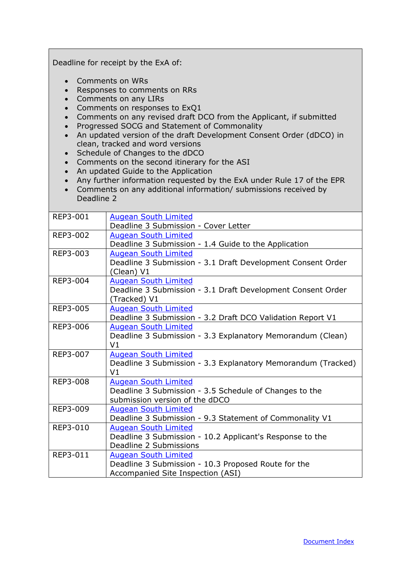| Deadline for receipt by the ExA of:                            |                                                                                                                                                                                                                                                                                                                                                                                                                                                                                                                                                                                                                 |  |
|----------------------------------------------------------------|-----------------------------------------------------------------------------------------------------------------------------------------------------------------------------------------------------------------------------------------------------------------------------------------------------------------------------------------------------------------------------------------------------------------------------------------------------------------------------------------------------------------------------------------------------------------------------------------------------------------|--|
| $\bullet$<br>$\bullet$<br>$\bullet$<br>$\bullet$<br>Deadline 2 | Comments on WRs<br>Responses to comments on RRs<br>Comments on any LIRs<br>Comments on responses to ExQ1<br>Comments on any revised draft DCO from the Applicant, if submitted<br>Progressed SOCG and Statement of Commonality<br>An updated version of the draft Development Consent Order (dDCO) in<br>clean, tracked and word versions<br>Schedule of Changes to the dDCO<br>Comments on the second itinerary for the ASI<br>An updated Guide to the Application<br>Any further information requested by the ExA under Rule 17 of the EPR<br>Comments on any additional information/ submissions received by |  |
| REP3-001                                                       | <b>Augean South Limited</b><br>Deadline 3 Submission - Cover Letter                                                                                                                                                                                                                                                                                                                                                                                                                                                                                                                                             |  |
| REP3-002                                                       | <b>Augean South Limited</b><br>Deadline 3 Submission - 1.4 Guide to the Application                                                                                                                                                                                                                                                                                                                                                                                                                                                                                                                             |  |
| REP3-003                                                       | <b>Augean South Limited</b><br>Deadline 3 Submission - 3.1 Draft Development Consent Order<br>(Clean) V1                                                                                                                                                                                                                                                                                                                                                                                                                                                                                                        |  |
| REP3-004                                                       | <b>Augean South Limited</b><br>Deadline 3 Submission - 3.1 Draft Development Consent Order<br>(Tracked) V1                                                                                                                                                                                                                                                                                                                                                                                                                                                                                                      |  |
| <b>REP3-005</b>                                                | <b>Augean South Limited</b><br>Deadline 3 Submission - 3.2 Draft DCO Validation Report V1                                                                                                                                                                                                                                                                                                                                                                                                                                                                                                                       |  |
| REP3-006                                                       | <b>Augean South Limited</b><br>Deadline 3 Submission - 3.3 Explanatory Memorandum (Clean)<br>V <sub>1</sub>                                                                                                                                                                                                                                                                                                                                                                                                                                                                                                     |  |
| REP3-007                                                       | <b>Augean South Limited</b><br>Deadline 3 Submission - 3.3 Explanatory Memorandum (Tracked)<br>V <sub>1</sub>                                                                                                                                                                                                                                                                                                                                                                                                                                                                                                   |  |
| REP3-008                                                       | <b>Augean South Limited</b><br>Deadline 3 Submission - 3.5 Schedule of Changes to the<br>submission version of the dDCO                                                                                                                                                                                                                                                                                                                                                                                                                                                                                         |  |
| REP3-009                                                       | <b>Augean South Limited</b><br>Deadline 3 Submission - 9.3 Statement of Commonality V1                                                                                                                                                                                                                                                                                                                                                                                                                                                                                                                          |  |
| REP3-010                                                       | <b>Augean South Limited</b><br>Deadline 3 Submission - 10.2 Applicant's Response to the<br>Deadline 2 Submissions                                                                                                                                                                                                                                                                                                                                                                                                                                                                                               |  |
| REP3-011                                                       | <b>Augean South Limited</b><br>Deadline 3 Submission - 10.3 Proposed Route for the<br>Accompanied Site Inspection (ASI)                                                                                                                                                                                                                                                                                                                                                                                                                                                                                         |  |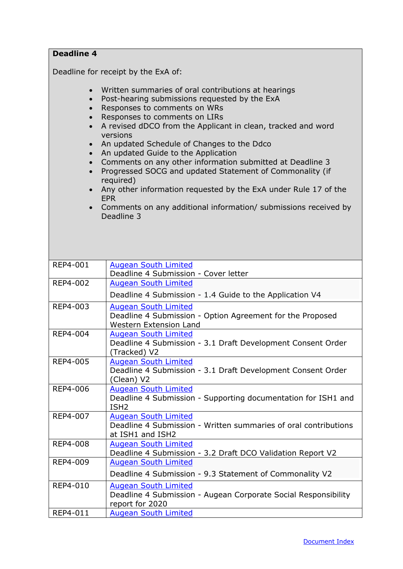<span id="page-21-0"></span>

| <b>Deadline 4</b>                                                                                    |                                                                                                                                                                                                                                                                                                                                                                                                                                                                                                                                                                                                                                                |
|------------------------------------------------------------------------------------------------------|------------------------------------------------------------------------------------------------------------------------------------------------------------------------------------------------------------------------------------------------------------------------------------------------------------------------------------------------------------------------------------------------------------------------------------------------------------------------------------------------------------------------------------------------------------------------------------------------------------------------------------------------|
|                                                                                                      | Deadline for receipt by the ExA of:                                                                                                                                                                                                                                                                                                                                                                                                                                                                                                                                                                                                            |
|                                                                                                      |                                                                                                                                                                                                                                                                                                                                                                                                                                                                                                                                                                                                                                                |
| $\bullet$<br>$\bullet$<br>$\bullet$<br>$\bullet$<br>$\bullet$<br>$\bullet$<br>$\bullet$<br>$\bullet$ | Written summaries of oral contributions at hearings<br>Post-hearing submissions requested by the ExA<br>Responses to comments on WRs<br>Responses to comments on LIRs<br>A revised dDCO from the Applicant in clean, tracked and word<br>versions<br>An updated Schedule of Changes to the Ddco<br>An updated Guide to the Application<br>Comments on any other information submitted at Deadline 3<br>Progressed SOCG and updated Statement of Commonality (if<br>required)<br>Any other information requested by the ExA under Rule 17 of the<br><b>EPR</b><br>Comments on any additional information/ submissions received by<br>Deadline 3 |
| <b>REP4-001</b>                                                                                      | <b>Augean South Limited</b>                                                                                                                                                                                                                                                                                                                                                                                                                                                                                                                                                                                                                    |
|                                                                                                      | Deadline 4 Submission - Cover letter                                                                                                                                                                                                                                                                                                                                                                                                                                                                                                                                                                                                           |
| REP4-002                                                                                             | <b>Augean South Limited</b><br>Deadline 4 Submission - 1.4 Guide to the Application V4                                                                                                                                                                                                                                                                                                                                                                                                                                                                                                                                                         |
| REP4-003                                                                                             | <b>Augean South Limited</b><br>Deadline 4 Submission - Option Agreement for the Proposed<br><b>Western Extension Land</b>                                                                                                                                                                                                                                                                                                                                                                                                                                                                                                                      |
| REP4-004                                                                                             | <b>Augean South Limited</b><br>Deadline 4 Submission - 3.1 Draft Development Consent Order<br>(Tracked) V2                                                                                                                                                                                                                                                                                                                                                                                                                                                                                                                                     |
| REP4-005                                                                                             | <b>Augean South Limited</b><br>Deadline 4 Submission - 3.1 Draft Development Consent Order<br>(Clean) V2                                                                                                                                                                                                                                                                                                                                                                                                                                                                                                                                       |
| REP4-006                                                                                             | <b>Augean South Limited</b><br>Deadline 4 Submission - Supporting documentation for ISH1 and<br>ISH <sub>2</sub>                                                                                                                                                                                                                                                                                                                                                                                                                                                                                                                               |
| REP4-007                                                                                             | <b>Augean South Limited</b><br>Deadline 4 Submission - Written summaries of oral contributions<br>at ISH1 and ISH2                                                                                                                                                                                                                                                                                                                                                                                                                                                                                                                             |
| <b>REP4-008</b>                                                                                      | <b>Augean South Limited</b><br>Deadline 4 Submission - 3.2 Draft DCO Validation Report V2                                                                                                                                                                                                                                                                                                                                                                                                                                                                                                                                                      |
| REP4-009                                                                                             | <b>Augean South Limited</b><br>Deadline 4 Submission - 9.3 Statement of Commonality V2                                                                                                                                                                                                                                                                                                                                                                                                                                                                                                                                                         |
|                                                                                                      |                                                                                                                                                                                                                                                                                                                                                                                                                                                                                                                                                                                                                                                |
| REP4-010                                                                                             | <b>Augean South Limited</b><br>Deadline 4 Submission - Augean Corporate Social Responsibility<br>report for 2020                                                                                                                                                                                                                                                                                                                                                                                                                                                                                                                               |
| REP4-011                                                                                             | <b>Augean South Limited</b>                                                                                                                                                                                                                                                                                                                                                                                                                                                                                                                                                                                                                    |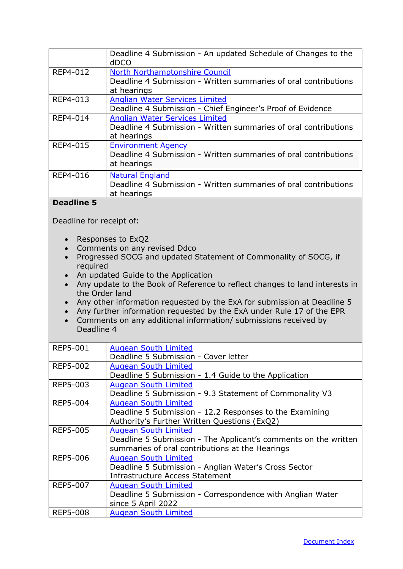<span id="page-22-0"></span>

|                                                                             | Deadline 4 Submission - An updated Schedule of Changes to the<br>dDCO                               |
|-----------------------------------------------------------------------------|-----------------------------------------------------------------------------------------------------|
| REP4-012                                                                    | North Northamptonshire Council                                                                      |
|                                                                             | Deadline 4 Submission - Written summaries of oral contributions                                     |
|                                                                             | at hearings                                                                                         |
| REP4-013                                                                    | <b>Anglian Water Services Limited</b>                                                               |
| REP4-014                                                                    | Deadline 4 Submission - Chief Engineer's Proof of Evidence<br><b>Anglian Water Services Limited</b> |
|                                                                             | Deadline 4 Submission - Written summaries of oral contributions                                     |
|                                                                             | at hearings                                                                                         |
| REP4-015                                                                    | <b>Environment Agency</b>                                                                           |
|                                                                             | Deadline 4 Submission - Written summaries of oral contributions                                     |
|                                                                             | at hearings                                                                                         |
| REP4-016                                                                    | <b>Natural England</b>                                                                              |
|                                                                             | Deadline 4 Submission - Written summaries of oral contributions                                     |
|                                                                             | at hearings                                                                                         |
| <b>Deadline 5</b>                                                           |                                                                                                     |
| Deadline for receipt of:                                                    |                                                                                                     |
|                                                                             |                                                                                                     |
| $\bullet$                                                                   | Responses to ExQ2                                                                                   |
| $\bullet$                                                                   | Comments on any revised Ddco                                                                        |
| $\bullet$                                                                   | Progressed SOCG and updated Statement of Commonality of SOCG, if                                    |
| required                                                                    |                                                                                                     |
| $\bullet$                                                                   | An updated Guide to the Application                                                                 |
| Any update to the Book of Reference to reflect changes to land interests in |                                                                                                     |
|                                                                             |                                                                                                     |
| the Order land                                                              |                                                                                                     |
|                                                                             | Any other information requested by the ExA for submission at Deadline 5                             |
|                                                                             | Any further information requested by the ExA under Rule 17 of the EPR                               |
| $\bullet$                                                                   | Comments on any additional information/ submissions received by                                     |
| Deadline 4                                                                  |                                                                                                     |
| REP5-001                                                                    | <b>Augean South Limited</b>                                                                         |
|                                                                             | Deadline 5 Submission - Cover letter                                                                |
| REP5-002                                                                    | <b>Augean South Limited</b>                                                                         |
|                                                                             | Deadline 5 Submission - 1.4 Guide to the Application                                                |
| REP5-003                                                                    | <b>Augean South Limited</b>                                                                         |
|                                                                             | Deadline 5 Submission - 9.3 Statement of Commonality V3                                             |
| REP5-004                                                                    | <b>Augean South Limited</b>                                                                         |
|                                                                             | Deadline 5 Submission - 12.2 Responses to the Examining                                             |
|                                                                             | Authority's Further Written Questions (ExQ2)                                                        |
| REP5-005                                                                    | <b>Augean South Limited</b>                                                                         |
|                                                                             | Deadline 5 Submission - The Applicant's comments on the written                                     |
| <b>REP5-006</b>                                                             | summaries of oral contributions at the Hearings                                                     |
|                                                                             | <b>Augean South Limited</b><br>Deadline 5 Submission - Anglian Water's Cross Sector                 |
|                                                                             | <b>Infrastructure Access Statement</b>                                                              |
| REP5-007                                                                    | <b>Augean South Limited</b>                                                                         |
|                                                                             | Deadline 5 Submission - Correspondence with Anglian Water                                           |
| <b>REP5-008</b>                                                             | since 5 April 2022<br><b>Augean South Limited</b>                                                   |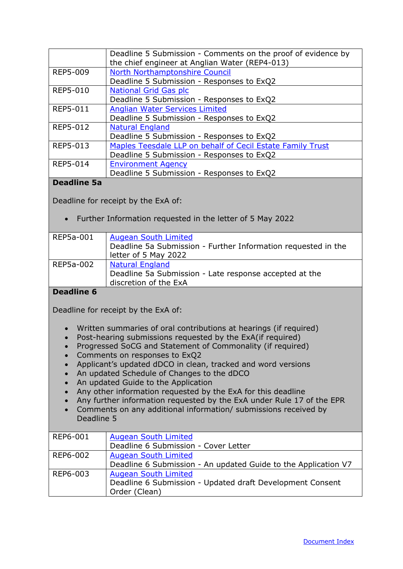|                 | Deadline 5 Submission - Comments on the proof of evidence by<br>the chief engineer at Anglian Water (REP4-013) |
|-----------------|----------------------------------------------------------------------------------------------------------------|
| REP5-009        | North Northamptonshire Council                                                                                 |
|                 | Deadline 5 Submission - Responses to ExQ2                                                                      |
| REP5-010        | <b>National Grid Gas plc</b>                                                                                   |
|                 | Deadline 5 Submission - Responses to ExQ2                                                                      |
| REP5-011        | <b>Anglian Water Services Limited</b>                                                                          |
|                 | Deadline 5 Submission - Responses to ExQ2                                                                      |
| <b>REP5-012</b> | <b>Natural England</b>                                                                                         |
|                 | Deadline 5 Submission - Responses to ExQ2                                                                      |
| REP5-013        | Maples Teesdale LLP on behalf of Cecil Estate Family Trust                                                     |
|                 | Deadline 5 Submission - Responses to ExQ2                                                                      |
| REP5-014        | <b>Environment Agency</b>                                                                                      |
|                 | Deadline 5 Submission - Responses to ExQ2                                                                      |

#### **Deadline 5a**

<span id="page-23-0"></span>Deadline for receipt by the ExA of:

• Further Information requested in the letter of 5 May 2022

| REP5a-001 | <b>Augean South Limited</b><br>Deadline 5a Submission - Further Information requested in the<br>letter of 5 May 2022 |
|-----------|----------------------------------------------------------------------------------------------------------------------|
| REP5a-002 | <b>Natural England</b><br>Deadline 5a Submission - Late response accepted at the<br>discretion of the ExA            |

#### <span id="page-23-1"></span>**Deadline 6**

Deadline for receipt by the ExA of:

- Written summaries of oral contributions at hearings (if required)
- Post-hearing submissions requested by the ExA(if required)
- Progressed SoCG and Statement of Commonality (if required)
- Comments on responses to ExQ2
- Applicant's updated dDCO in clean, tracked and word versions
- An updated Schedule of Changes to the dDCO
- An updated Guide to the Application
- Any other information requested by the ExA for this deadline
- Any further information requested by the ExA under Rule 17 of the EPR
- Comments on any additional information/ submissions received by Deadline 5

| REP6-001 | <b>Augean South Limited</b>                                    |
|----------|----------------------------------------------------------------|
|          | Deadline 6 Submission - Cover Letter                           |
| REP6-002 | <b>Augean South Limited</b>                                    |
|          | Deadline 6 Submission - An updated Guide to the Application V7 |
| REP6-003 | <b>Augean South Limited</b>                                    |
|          | Deadline 6 Submission - Updated draft Development Consent      |
|          | Order (Clean)                                                  |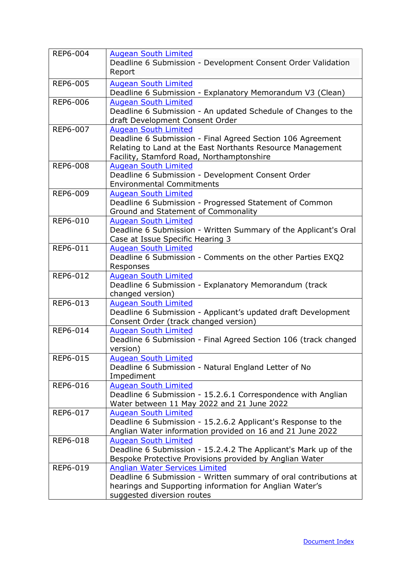| REP6-004        | <b>Augean South Limited</b>                                               |
|-----------------|---------------------------------------------------------------------------|
|                 | Deadline 6 Submission - Development Consent Order Validation              |
|                 | Report                                                                    |
| REP6-005        | <b>Augean South Limited</b>                                               |
|                 | Deadline 6 Submission - Explanatory Memorandum V3 (Clean)                 |
| <b>REP6-006</b> | <b>Augean South Limited</b>                                               |
|                 | Deadline 6 Submission - An updated Schedule of Changes to the             |
|                 | draft Development Consent Order                                           |
| REP6-007        | <b>Augean South Limited</b>                                               |
|                 | Deadline 6 Submission - Final Agreed Section 106 Agreement                |
|                 | Relating to Land at the East Northants Resource Management                |
|                 | Facility, Stamford Road, Northamptonshire                                 |
| REP6-008        | <b>Augean South Limited</b>                                               |
|                 | Deadline 6 Submission - Development Consent Order                         |
|                 | <b>Environmental Commitments</b>                                          |
| REP6-009        | <b>Augean South Limited</b>                                               |
|                 | Deadline 6 Submission - Progressed Statement of Common                    |
| REP6-010        | Ground and Statement of Commonality<br><b>Augean South Limited</b>        |
|                 | Deadline 6 Submission - Written Summary of the Applicant's Oral           |
|                 | Case at Issue Specific Hearing 3                                          |
| REP6-011        | <b>Augean South Limited</b>                                               |
|                 | Deadline 6 Submission - Comments on the other Parties EXQ2                |
|                 | Responses                                                                 |
| REP6-012        | <b>Augean South Limited</b>                                               |
|                 | Deadline 6 Submission - Explanatory Memorandum (track                     |
|                 | changed version)                                                          |
| REP6-013        | <b>Augean South Limited</b>                                               |
|                 | Deadline 6 Submission - Applicant's updated draft Development             |
|                 | Consent Order (track changed version)                                     |
| REP6-014        | <b>Augean South Limited</b>                                               |
|                 | Deadline 6 Submission - Final Agreed Section 106 (track changed           |
|                 | version)                                                                  |
| REP6-015        | <b>Augean South Limited</b>                                               |
|                 | Deadline 6 Submission - Natural England Letter of No                      |
|                 | Impediment                                                                |
| REP6-016        | <b>Augean South Limited</b>                                               |
|                 | Deadline 6 Submission - 15.2.6.1 Correspondence with Anglian              |
| REP6-017        | Water between 11 May 2022 and 21 June 2022<br><b>Augean South Limited</b> |
|                 | Deadline 6 Submission - 15.2.6.2 Applicant's Response to the              |
|                 | Anglian Water information provided on 16 and 21 June 2022                 |
| REP6-018        | <b>Augean South Limited</b>                                               |
|                 | Deadline 6 Submission - 15.2.4.2 The Applicant's Mark up of the           |
|                 | Bespoke Protective Provisions provided by Anglian Water                   |
| REP6-019        | <b>Anglian Water Services Limited</b>                                     |
|                 | Deadline 6 Submission - Written summary of oral contributions at          |
|                 | hearings and Supporting information for Anglian Water's                   |
|                 | suggested diversion routes                                                |